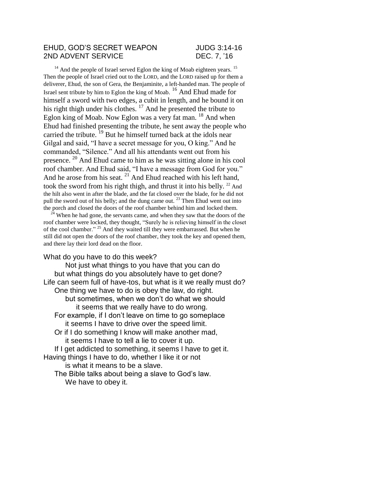## EHUD, GOD'S SECRET WEAPON JUDG 3:14-16 2ND ADVENT SERVICE DEC. 7, '16

 $14$  And the people of Israel served Eglon the king of Moab eighteen years.  $15$ Then the people of Israel cried out to the LORD, and the LORD raised up for them a deliverer, Ehud, the son of Gera, the Benjaminite, a left-handed man. The people of Israel sent tribute by him to Eglon the king of Moab. <sup>16</sup> And Ehud made for himself a sword with two edges, a cubit in length, and he bound it on his right thigh under his clothes.<sup>17</sup> And he presented the tribute to Eglon king of Moab. Now Eglon was a very fat man.  $^{18}$  And when Ehud had finished presenting the tribute, he sent away the people who carried the tribute.<sup>19</sup> But he himself turned back at the idols near Gilgal and said, "I have a secret message for you, O king." And he commanded, "Silence." And all his attendants went out from his presence. <sup>20</sup> And Ehud came to him as he was sitting alone in his cool roof chamber. And Ehud said, "I have a message from God for you." And he arose from his seat. <sup>21</sup> And Ehud reached with his left hand, took the sword from his right thigh, and thrust it into his belly.  $22$  And the hilt also went in after the blade, and the fat closed over the blade, for he did not pull the sword out of his belly; and the dung came out.  $^{23}$  Then Ehud went out into the porch and closed the doors of the roof chamber behind him and locked them.

 $24$  When he had gone, the servants came, and when they saw that the doors of the roof chamber were locked, they thought, "Surely he is relieving himself in the closet of the cool chamber." <sup>25</sup> And they waited till they were embarrassed. But when he still did not open the doors of the roof chamber, they took the key and opened them, and there lay their lord dead on the floor.

## What do you have to do this week?

Not just what things to you have that you can do but what things do you absolutely have to get done? Life can seem full of have-tos, but what is it we really must do? One thing we have to do is obey the law, do right. but sometimes, when we don't do what we should it seems that we really have to do wrong. For example, if I don't leave on time to go someplace it seems I have to drive over the speed limit. Or if I do something I know will make another mad, it seems I have to tell a lie to cover it up. If I get addicted to something, it seems I have to get it. Having things I have to do, whether I like it or not is what it means to be a slave. The Bible talks about being a slave to God's law.

We have to obey it.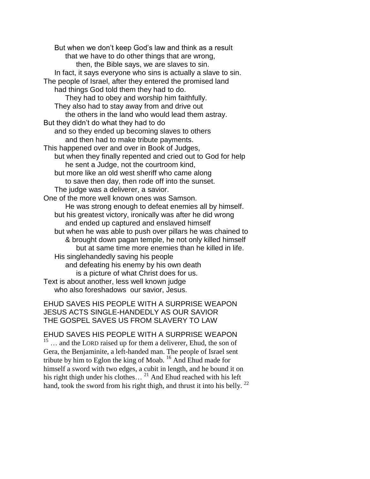But when we don't keep God's law and think as a result that we have to do other things that are wrong, then, the Bible says, we are slaves to sin. In fact, it says everyone who sins is actually a slave to sin. The people of Israel, after they entered the promised land had things God told them they had to do. They had to obey and worship him faithfully. They also had to stay away from and drive out the others in the land who would lead them astray. But they didn't do what they had to do and so they ended up becoming slaves to others and then had to make tribute payments. This happened over and over in Book of Judges, but when they finally repented and cried out to God for help he sent a Judge, not the courtroom kind, but more like an old west sheriff who came along to save then day, then rode off into the sunset. The judge was a deliverer, a savior. One of the more well known ones was Samson. He was strong enough to defeat enemies all by himself. but his greatest victory, ironically was after he did wrong and ended up captured and enslaved himself but when he was able to push over pillars he was chained to & brought down pagan temple, he not only killed himself but at same time more enemies than he killed in life. His singlehandedly saving his people and defeating his enemy by his own death is a picture of what Christ does for us. Text is about another, less well known judge who also foreshadows our savior, Jesus.

## EHUD SAVES HIS PEOPLE WITH A SURPRISE WEAPON JESUS ACTS SINGLE-HANDEDLY AS OUR SAVIOR THE GOSPEL SAVES US FROM SLAVERY TO LAW

EHUD SAVES HIS PEOPLE WITH A SURPRISE WEAPON <sup>15</sup> ... and the LORD raised up for them a deliverer, Ehud, the son of Gera, the Benjaminite, a left-handed man. The people of Israel sent tribute by him to Eglon the king of Moab. <sup>16</sup> And Ehud made for himself a sword with two edges, a cubit in length, and he bound it on his right thigh under his clothes...  $^{21}$  And Ehud reached with his left hand, took the sword from his right thigh, and thrust it into his belly.<sup>22</sup>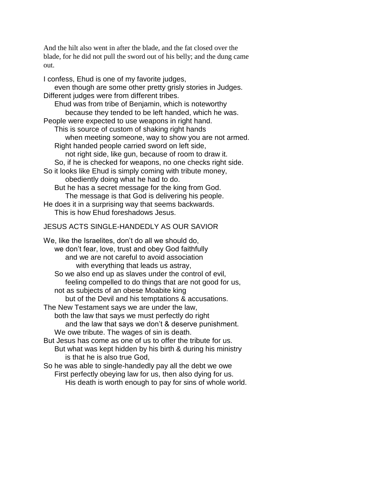And the hilt also went in after the blade, and the fat closed over the blade, for he did not pull the sword out of his belly; and the dung came out.

I confess, Ehud is one of my favorite judges, even though are some other pretty grisly stories in Judges. Different judges were from different tribes. Ehud was from tribe of Benjamin, which is noteworthy because they tended to be left handed, which he was. People were expected to use weapons in right hand. This is source of custom of shaking right hands when meeting someone, way to show you are not armed. Right handed people carried sword on left side, not right side, like gun, because of room to draw it. So, if he is checked for weapons, no one checks right side. So it looks like Ehud is simply coming with tribute money, obediently doing what he had to do. But he has a secret message for the king from God. The message is that God is delivering his people. He does it in a surprising way that seems backwards. This is how Ehud foreshadows Jesus. JESUS ACTS SINGLE-HANDEDLY AS OUR SAVIOR We, like the Israelites, don't do all we should do, we don't fear, love, trust and obey God faithfully and we are not careful to avoid association with everything that leads us astray, So we also end up as slaves under the control of evil,

feeling compelled to do things that are not good for us, not as subjects of an obese Moabite king

but of the Devil and his temptations & accusations.

The New Testament says we are under the law,

both the law that says we must perfectly do right and the law that says we don't & deserve punishment. We owe tribute. The wages of sin is death.

But Jesus has come as one of us to offer the tribute for us. But what was kept hidden by his birth & during his ministry is that he is also true God,

So he was able to single-handedly pay all the debt we owe First perfectly obeying law for us, then also dying for us. His death is worth enough to pay for sins of whole world.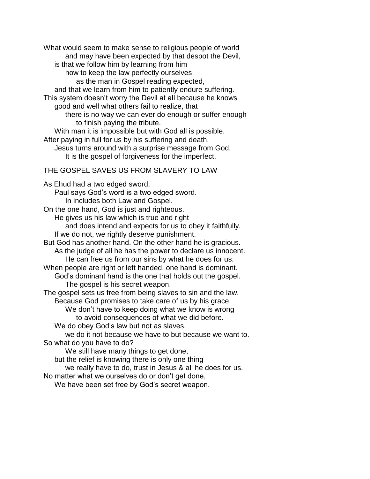What would seem to make sense to religious people of world and may have been expected by that despot the Devil, is that we follow him by learning from him how to keep the law perfectly ourselves as the man in Gospel reading expected, and that we learn from him to patiently endure suffering. This system doesn't worry the Devil at all because he knows good and well what others fail to realize, that there is no way we can ever do enough or suffer enough to finish paying the tribute. With man it is impossible but with God all is possible. After paying in full for us by his suffering and death, Jesus turns around with a surprise message from God. It is the gospel of forgiveness for the imperfect. THE GOSPEL SAVES US FROM SLAVERY TO LAW As Ehud had a two edged sword, Paul says God's word is a two edged sword. In includes both Law and Gospel. On the one hand, God is just and righteous. He gives us his law which is true and right and does intend and expects for us to obey it faithfully. If we do not, we rightly deserve punishment. But God has another hand. On the other hand he is gracious. As the judge of all he has the power to declare us innocent. He can free us from our sins by what he does for us. When people are right or left handed, one hand is dominant. God's dominant hand is the one that holds out the gospel. The gospel is his secret weapon. The gospel sets us free from being slaves to sin and the law. Because God promises to take care of us by his grace, We don't have to keep doing what we know is wrong to avoid consequences of what we did before. We do obey God's law but not as slaves, we do it not because we have to but because we want to. So what do you have to do? We still have many things to get done, but the relief is knowing there is only one thing we really have to do, trust in Jesus & all he does for us. No matter what we ourselves do or don't get done, We have been set free by God's secret weapon.